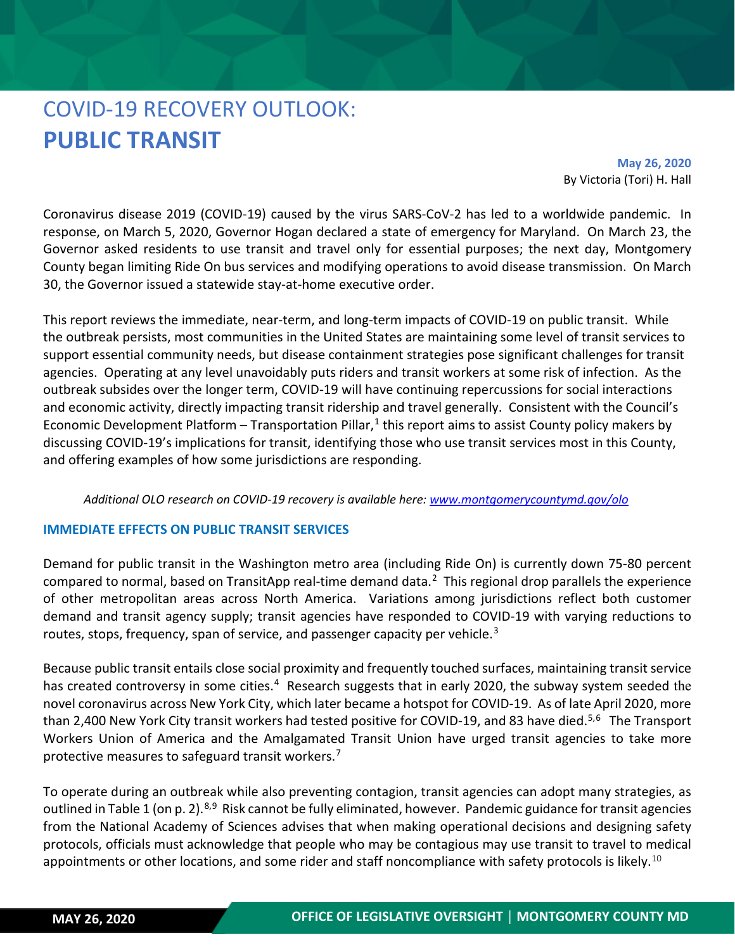# COVID-19 RECOVERY OUTLOOK: **PUBLIC TRANSIT**

**May 26, 2020** By Victoria (Tori) H. Hall

Coronavirus disease 2019 (COVID-19) caused by the virus SARS-CoV-2 has led to a worldwide pandemic. In response, on March 5, 2020, Governor Hogan declared a state of emergency for Maryland. On March 23, the Governor asked residents to use transit and travel only for essential purposes; the next day, Montgomery County began limiting Ride On bus services and modifying operations to avoid disease transmission. On March 30, the Governor issued a statewide stay-at-home executive order.

This report reviews the immediate, near-term, and long-term impacts of COVID-19 on public transit. While the outbreak persists, most communities in the United States are maintaining some level of transit services to support essential community needs, but disease containment strategies pose significant challenges for transit agencies. Operating at any level unavoidably puts riders and transit workers at some risk of infection. As the outbreak subsides over the longer term, COVID-19 will have continuing repercussions for social interactions and economic activity, directly impacting transit ridership and travel generally. Consistent with the Council's Economic Development Platform – Transportation Pillar,<sup>[1](#page-6-0)</sup> this report aims to assist County policy makers by discussing COVID-19's implications for transit, identifying those who use transit services most in this County, and offering examples of how some jurisdictions are responding.

#### *Additional OLO research on COVID-19 recovery is available here: [www.montgomerycountymd.gov/olo](http://www.montgomerycountymd.gov/olo)*

#### **IMMEDIATE EFFECTS ON PUBLIC TRANSIT SERVICES**

Demand for public transit in the Washington metro area (including Ride On) is currently down 75-80 percent compared to normal, based on TransitApp real-time demand data.<sup>[2](#page-6-1)</sup> This regional drop parallels the experience of other metropolitan areas across North America. Variations among jurisdictions reflect both customer demand and transit agency supply; transit agencies have responded to COVID-19 with varying reductions to routes, stops, frequency, span of service, and passenger capacity per vehicle.<sup>[3](#page-6-2)</sup>

Because public transit entails close social proximity and frequently touched surfaces, maintaining transit service has created controversy in some cities.<sup>4</sup> Research suggests that in early 2020, the subway system seeded the novel coronavirus across New York City, which later became a hotspot for COVID-19. As of late April 2020, more than 2,400 New York City transit workers had tested positive for COVID-19, and 83 have died.<sup>[5](#page-6-4),[6](#page-6-5)</sup> The Transport Workers Union of America and the Amalgamated Transit Union have urged transit agencies to take more protective measures to safeguard transit workers.<sup>[7](#page-6-6)</sup>

To operate during an outbreak while also preventing contagion, transit agencies can adopt many strategies, as outlined in Table 1 (on p. 2).<sup>[8](#page-6-7),9</sup> Risk cannot be fully eliminated, however. Pandemic guidance for transit agencies from the National Academy of Sciences advises that when making operational decisions and designing safety protocols, officials must acknowledge that people who may be contagious may use transit to travel to medical appointments or other locations, and some rider and staff noncompliance with safety protocols is likely.<sup>[10](#page-6-9)</sup>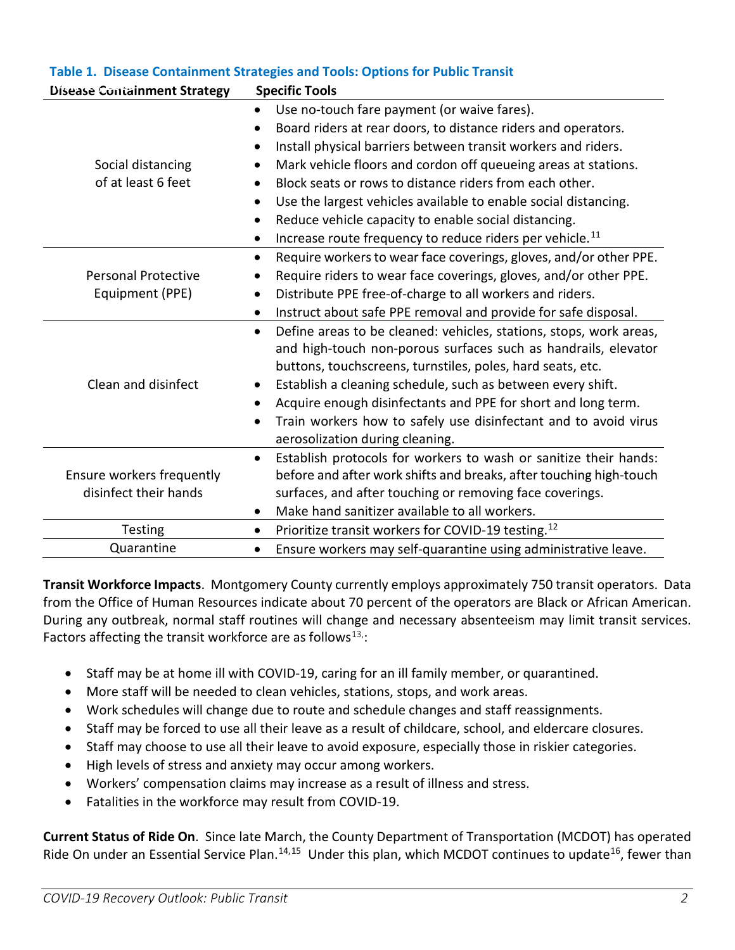| <b>Disease Containment Strategy</b>                | <b>Specific Tools</b>                                                                                                                                                                                                                                                                                                                                                                                                                                                                                                                                                                                                 |
|----------------------------------------------------|-----------------------------------------------------------------------------------------------------------------------------------------------------------------------------------------------------------------------------------------------------------------------------------------------------------------------------------------------------------------------------------------------------------------------------------------------------------------------------------------------------------------------------------------------------------------------------------------------------------------------|
| Social distancing<br>of at least 6 feet            | Use no-touch fare payment (or waive fares).<br>$\bullet$<br>Board riders at rear doors, to distance riders and operators.<br>$\bullet$<br>Install physical barriers between transit workers and riders.<br>$\bullet$<br>Mark vehicle floors and cordon off queueing areas at stations.<br>$\bullet$<br>Block seats or rows to distance riders from each other.<br>$\bullet$<br>Use the largest vehicles available to enable social distancing.<br>$\bullet$<br>Reduce vehicle capacity to enable social distancing.<br>$\bullet$<br>Increase route frequency to reduce riders per vehicle. <sup>11</sup><br>$\bullet$ |
| <b>Personal Protective</b><br>Equipment (PPE)      | Require workers to wear face coverings, gloves, and/or other PPE.<br>$\bullet$<br>Require riders to wear face coverings, gloves, and/or other PPE.<br>$\bullet$<br>Distribute PPE free-of-charge to all workers and riders.<br>$\bullet$<br>Instruct about safe PPE removal and provide for safe disposal.<br>$\bullet$                                                                                                                                                                                                                                                                                               |
| Clean and disinfect                                | Define areas to be cleaned: vehicles, stations, stops, work areas,<br>$\bullet$<br>and high-touch non-porous surfaces such as handrails, elevator<br>buttons, touchscreens, turnstiles, poles, hard seats, etc.<br>Establish a cleaning schedule, such as between every shift.<br>$\bullet$<br>Acquire enough disinfectants and PPE for short and long term.<br>$\bullet$<br>Train workers how to safely use disinfectant and to avoid virus<br>$\bullet$<br>aerosolization during cleaning.                                                                                                                          |
| Ensure workers frequently<br>disinfect their hands | Establish protocols for workers to wash or sanitize their hands:<br>$\bullet$<br>before and after work shifts and breaks, after touching high-touch<br>surfaces, and after touching or removing face coverings.<br>Make hand sanitizer available to all workers.<br>$\bullet$                                                                                                                                                                                                                                                                                                                                         |
| Testing                                            | Prioritize transit workers for COVID-19 testing. <sup>12</sup><br>$\bullet$                                                                                                                                                                                                                                                                                                                                                                                                                                                                                                                                           |
| Quarantine                                         | Ensure workers may self-quarantine using administrative leave.<br>$\bullet$                                                                                                                                                                                                                                                                                                                                                                                                                                                                                                                                           |

## **Table 1. Disease Containment Strategies and Tools: Options for Public Transit**

**Transit Workforce Impacts**. Montgomery County currently employs approximately 750 transit operators. Data from the Office of Human Resources indicate about 70 percent of the operators are Black or African American. During any outbreak, normal staff routines will change and necessary absenteeism may limit transit services. Factors affecting the transit workforce are as follows $^{13}$  $^{13}$  $^{13}$ :

- Staff may be at home ill with COVID-19, caring for an ill family member, or quarantined.
- More staff will be needed to clean vehicles, stations, stops, and work areas.
- Work schedules will change due to route and schedule changes and staff reassignments.
- Staff may be forced to use all their leave as a result of childcare, school, and eldercare closures.
- Staff may choose to use all their leave to avoid exposure, especially those in riskier categories.
- High levels of stress and anxiety may occur among workers.
- Workers' compensation claims may increase as a result of illness and stress.
- Fatalities in the workforce may result from COVID-19.

**Current Status of Ride On**. Since late March, the County Department of Transportation (MCDOT) has operated Ride On under an Essential Service Plan.<sup>[14](#page-6-13),15</sup> Under this plan, which MCDOT continues to update<sup>16</sup>, fewer than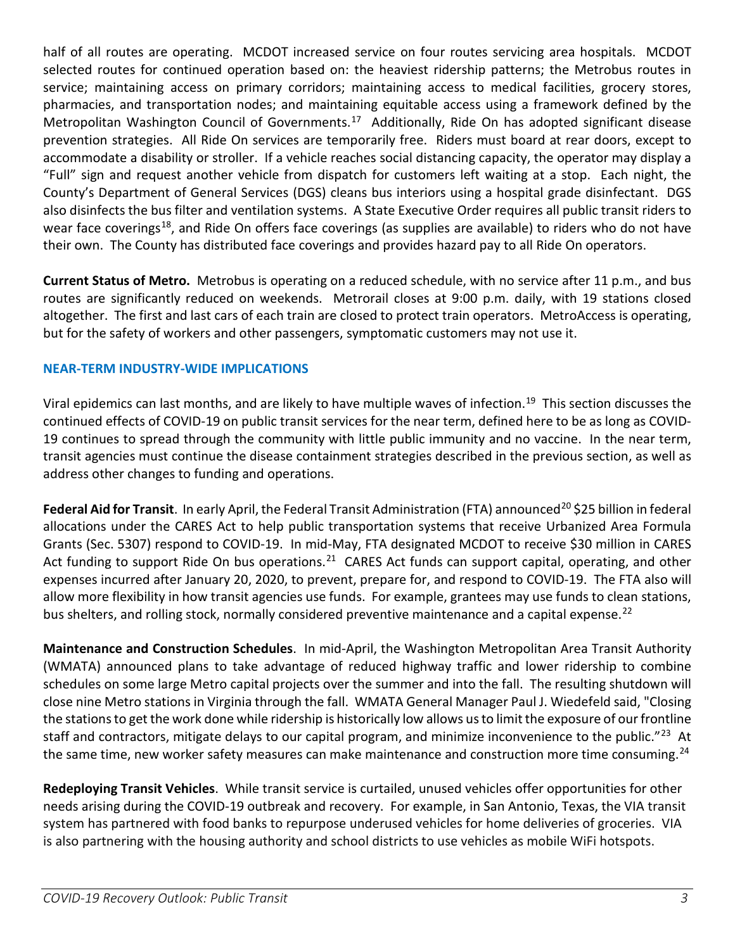half of all routes are operating. MCDOT increased service on four routes servicing area hospitals. MCDOT selected routes for continued operation based on: the heaviest ridership patterns; the Metrobus routes in service; maintaining access on primary corridors; maintaining access to medical facilities, grocery stores, pharmacies, and transportation nodes; and maintaining equitable access using a framework defined by the Metropolitan Washington Council of Governments.<sup>17</sup> Additionally, Ride On has adopted significant disease prevention strategies. All Ride On services are temporarily free. Riders must board at rear doors, except to accommodate a disability or stroller. If a vehicle reaches social distancing capacity, the operator may display a "Full" sign and request another vehicle from dispatch for customers left waiting at a stop. Each night, the County's Department of General Services (DGS) cleans bus interiors using a hospital grade disinfectant. DGS also disinfects the bus filter and ventilation systems. A State Executive Order requires all public transit riders to wear face coverings<sup>18</sup>, and Ride On offers face coverings (as supplies are available) to riders who do not have their own. The County has distributed face coverings and provides hazard pay to all Ride On operators.

**Current Status of Metro.** Metrobus is operating on a reduced schedule, with no service after 11 p.m., and bus routes are significantly reduced on weekends. Metrorail closes at 9:00 p.m. daily, with 19 stations closed altogether. The first and last cars of each train are closed to protect train operators. MetroAccess is operating, but for the safety of workers and other passengers, symptomatic customers may not use it.

## **NEAR-TERM INDUSTRY-WIDE IMPLICATIONS**

Viral epidemics can last months, and are likely to have multiple waves of infection.<sup>[19](#page-6-18)</sup> This section discusses the continued effects of COVID-19 on public transit services for the near term, defined here to be as long as COVID-19 continues to spread through the community with little public immunity and no vaccine. In the near term, transit agencies must continue the disease containment strategies described in the previous section, as well as address other changes to funding and operations.

Federal Aid for Transit. In early April, the Federal Transit Administration (FTA) announced<sup>[20](#page-6-19)</sup> \$25 billion in federal allocations under the CARES Act to help public transportation systems that receive Urbanized Area Formula Grants (Sec. 5307) respond to COVID-19. In mid-May, FTA designated MCDOT to receive \$30 million in CARES Act funding to support Ride On bus operations.<sup>[21](#page-6-20)</sup> CARES Act funds can support capital, operating, and other expenses incurred after January 20, 2020, to prevent, prepare for, and respond to COVID-19. The FTA also will allow more flexibility in how transit agencies use funds. For example, grantees may use funds to clean stations, bus shelters, and rolling stock, normally considered preventive maintenance and a capital expense.<sup>[22](#page-6-21)</sup>

**Maintenance and Construction Schedules**. In mid-April, the Washington Metropolitan Area Transit Authority (WMATA) announced plans to take advantage of reduced highway traffic and lower ridership to combine schedules on some large Metro capital projects over the summer and into the fall. The resulting shutdown will close nine Metro stations in Virginia through the fall. WMATA General Manager Paul J. Wiedefeld said, "Closing the stations to get the work done while ridership is historically low allows us to limit the exposure of our frontline staff and contractors, mitigate delays to our capital program, and minimize inconvenience to the public."<sup>[23](#page-6-22)</sup> At the same time, new worker safety measures can make maintenance and construction more time consuming.<sup>[24](#page-6-23)</sup>

**Redeploying Transit Vehicles**. While transit service is curtailed, unused vehicles offer opportunities for other needs arising during the COVID-19 outbreak and recovery. For example, in San Antonio, Texas, the VIA transit system has partnered with food banks to repurpose underused vehicles for home deliveries of groceries. VIA is also partnering with the housing authority and school districts to use vehicles as mobile WiFi hotspots.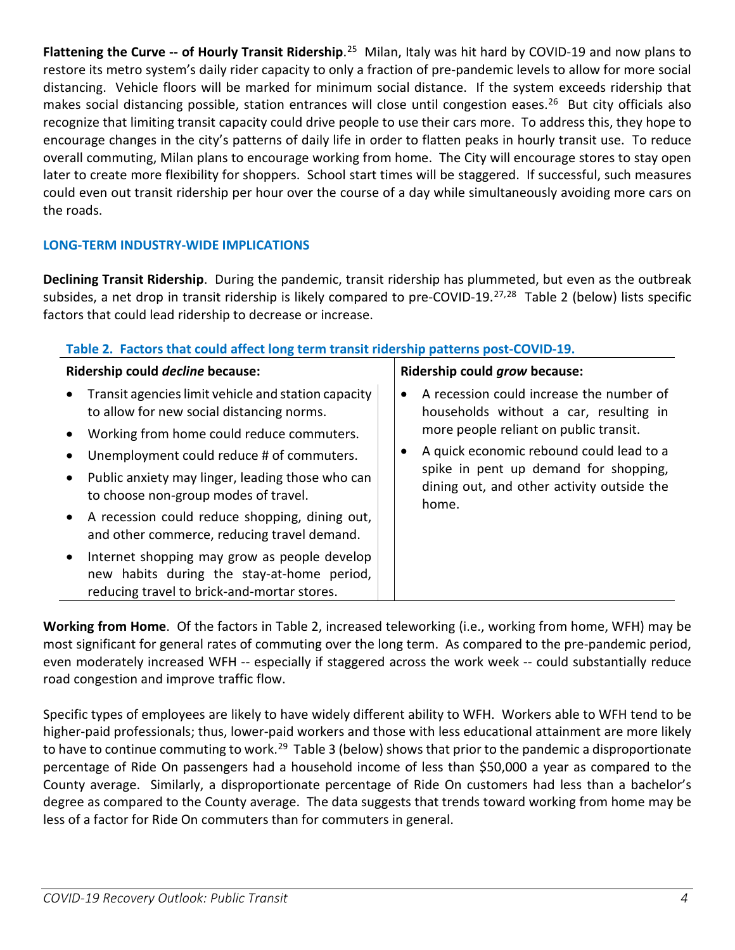Flattening the Curve -- of Hourly Transit Ridership.<sup>25</sup> Milan, Italy was hit hard by COVID-19 and now plans to restore its metro system's daily rider capacity to only a fraction of pre-pandemic levels to allow for more social distancing. Vehicle floors will be marked for minimum social distance. If the system exceeds ridership that makes social distancing possible, station entrances will close until congestion eases.<sup>[26](#page-6-25)</sup> But city officials also recognize that limiting transit capacity could drive people to use their cars more. To address this, they hope to encourage changes in the city's patterns of daily life in order to flatten peaks in hourly transit use. To reduce overall commuting, Milan plans to encourage working from home. The City will encourage stores to stay open later to create more flexibility for shoppers. School start times will be staggered. If successful, such measures could even out transit ridership per hour over the course of a day while simultaneously avoiding more cars on the roads.

## **LONG-TERM INDUSTRY-WIDE IMPLICATIONS**

**Declining Transit Ridership**. During the pandemic, transit ridership has plummeted, but even as the outbreak subsides, a net drop in transit ridership is likely compared to pre-COVID-19.<sup>[27,](#page-6-26)[28](#page-6-27)</sup> Table 2 (below) lists specific factors that could lead ridership to decrease or increase.

| Table 2. Factors that could affect long term transit ridership patterns post-COVID-19. |  |
|----------------------------------------------------------------------------------------|--|
|----------------------------------------------------------------------------------------|--|

| Ridership could decline because: |                                                                                                                                                                                            |           | Ridership could grow because:                                                                                                                                                                                                                                            |  |  |
|----------------------------------|--------------------------------------------------------------------------------------------------------------------------------------------------------------------------------------------|-----------|--------------------------------------------------------------------------------------------------------------------------------------------------------------------------------------------------------------------------------------------------------------------------|--|--|
|                                  | Transit agencies limit vehicle and station capacity<br>to allow for new social distancing norms.<br>Working from home could reduce commuters.<br>Unemployment could reduce # of commuters. | $\bullet$ | A recession could increase the number of<br>households without a car, resulting in<br>more people reliant on public transit.<br>A quick economic rebound could lead to a<br>spike in pent up demand for shopping,<br>dining out, and other activity outside the<br>home. |  |  |
| $\bullet$                        | Public anxiety may linger, leading those who can<br>to choose non-group modes of travel.<br>A recession could reduce shopping, dining out,                                                 |           |                                                                                                                                                                                                                                                                          |  |  |
|                                  | and other commerce, reducing travel demand.<br>Internet shopping may grow as people develop<br>new habits during the stay-at-home period,                                                  |           |                                                                                                                                                                                                                                                                          |  |  |
|                                  | reducing travel to brick-and-mortar stores.                                                                                                                                                |           |                                                                                                                                                                                                                                                                          |  |  |

**Working from Home**. Of the factors in Table 2, increased teleworking (i.e., working from home, WFH) may be most significant for general rates of commuting over the long term. As compared to the pre-pandemic period, even moderately increased WFH -- especially if staggered across the work week -- could substantially reduce road congestion and improve traffic flow.

Specific types of employees are likely to have widely different ability to WFH. Workers able to WFH tend to be higher-paid professionals; thus, lower-paid workers and those with less educational attainment are more likely to have to continue commuting to work.<sup>[29](#page-6-10)</sup> Table 3 (below) shows that prior to the pandemic a disproportionate percentage of Ride On passengers had a household income of less than \$50,000 a year as compared to the County average. Similarly, a disproportionate percentage of Ride On customers had less than a bachelor's degree as compared to the County average. The data suggests that trends toward working from home may be less of a factor for Ride On commuters than for commuters in general.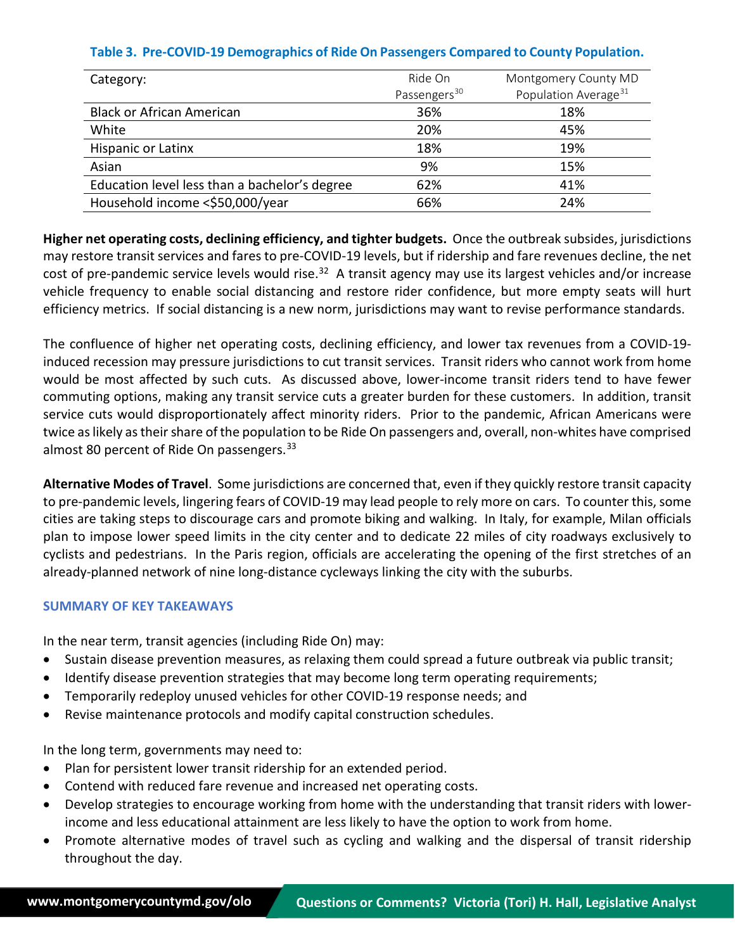## **Table 3. Pre-COVID-19 Demographics of Ride On Passengers Compared to County Population.**

| Category:                                     | Ride On                  | Montgomery County MD             |
|-----------------------------------------------|--------------------------|----------------------------------|
|                                               | Passengers <sup>30</sup> | Population Average <sup>31</sup> |
| <b>Black or African American</b>              | 36%                      | 18%                              |
| White                                         | 20%                      | 45%                              |
| Hispanic or Latinx                            | 18%                      | 19%                              |
| Asian                                         | 9%                       | 15%                              |
| Education level less than a bachelor's degree | 62%                      | 41%                              |
| Household income <\$50,000/year               | 66%                      | 24%                              |

**Higher net operating costs, declining efficiency, and tighter budgets.** Once the outbreak subsides, jurisdictions may restore transit services and fares to pre-COVID-19 levels, but if ridership and fare revenues decline, the net cost of pre-pandemic service levels would rise.<sup>32</sup> A transit agency may use its largest vehicles and/or increase vehicle frequency to enable social distancing and restore rider confidence, but more empty seats will hurt efficiency metrics. If social distancing is a new norm, jurisdictions may want to revise performance standards.

The confluence of higher net operating costs, declining efficiency, and lower tax revenues from a COVID-19 induced recession may pressure jurisdictions to cut transit services. Transit riders who cannot work from home would be most affected by such cuts. As discussed above, lower-income transit riders tend to have fewer commuting options, making any transit service cuts a greater burden for these customers. In addition, transit service cuts would disproportionately affect minority riders. Prior to the pandemic, African Americans were twice as likely as their share of the population to be Ride On passengers and, overall, non-whites have comprised almost 80 percent of Ride On passengers.  $33$ 

**Alternative Modes of Travel**. Some jurisdictions are concerned that, even if they quickly restore transit capacity to pre-pandemic levels, lingering fears of COVID-19 may lead people to rely more on cars. To counter this, some cities are taking steps to discourage cars and promote biking and walking. In Italy, for example, Milan officials plan to impose lower speed limits in the city center and to dedicate 22 miles of city roadways exclusively to cyclists and pedestrians. In the Paris region, officials are accelerating the opening of the first stretches of an already-planned network of [nine long-distance cycleways](about:blank) linking the city with the suburbs.

#### **SUMMARY OF KEY TAKEAWAYS**

In the near term, transit agencies (including Ride On) may:

- Sustain disease prevention measures, as relaxing them could spread a future outbreak via public transit;
- Identify disease prevention strategies that may become long term operating requirements;
- Temporarily redeploy unused vehicles for other COVID-19 response needs; and
- Revise maintenance protocols and modify capital construction schedules.

In the long term, governments may need to:

- Plan for persistent lower transit ridership for an extended period.
- Contend with reduced fare revenue and increased net operating costs.
- Develop strategies to encourage working from home with the understanding that transit riders with lowerincome and less educational attainment are less likely to have the option to work from home.
- Promote alternative modes of travel such as cycling and walking and the dispersal of transit ridership throughout the day.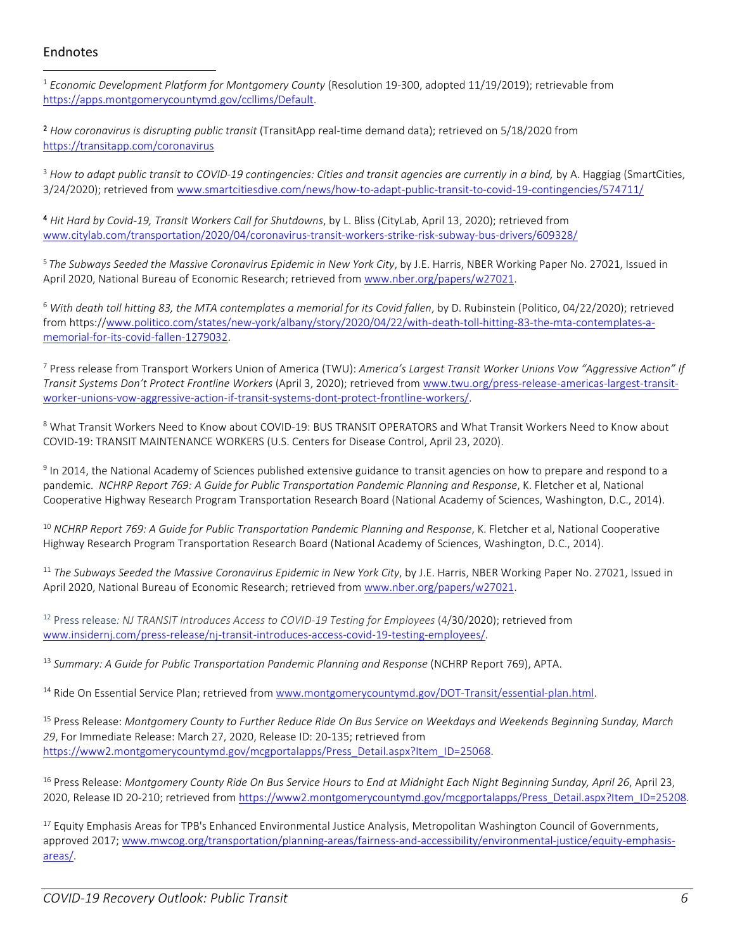### Endnotes

<sup>1</sup> *Economic Development Platform for Montgomery County* (Resolution 19-300, adopted 11/19/2019); retrievable from [https://apps.montgomerycountymd.gov/ccllims/Default.](https://apps.montgomerycountymd.gov/ccllims/Default)

2 *How coronavirus is disrupting public transit* (TransitApp real-time demand data); retrieved on 5/18/2020 from <https://transitapp.com/coronavirus>

<sup>3</sup> How to adapt public transit to COVID-19 contingencies: Cities and transit agencies are currently in a bind, by A. Haggiag (SmartCities, 3/24/2020); retrieved fro[m www.smartcitiesdive.com/news/how-to-adapt-public-transit-to-covid-19-contingencies/574711/](http://www.smartcitiesdive.com/news/how-to-adapt-public-transit-to-covid-19-contingencies/574711/)

4 *Hit Hard by Covid-19, Transit Workers Call for Shutdowns*, by L. Bliss (CityLab, April 13, 2020); retrieved from [www.citylab.com/transportation/2020/04/coronavirus-transit-workers-strike-risk-subway-bus-drivers/609328/](http://www.citylab.com/transportation/2020/04/coronavirus-transit-workers-strike-risk-subway-bus-drivers/609328/)

<sup>5</sup> *The Subways Seeded the Massive Coronavirus Epidemic in New York City*, by J.E. Harris, NBER Working Paper No. 27021, Issued in April 2020, National Bureau of Economic Research; retrieved fro[m www.nber.org/papers/w27021.](http://www.nber.org/papers/w27021)

<sup>6</sup> With death toll hitting 83, the MTA contemplates a memorial for its Covid fallen, by D. Rubinstein (Politico, 04/22/2020); retrieved from https:/[/www.politico.com/states/new-york/albany/story/2020/04/22/with-death-toll-hitting-83-the-mta-contemplates-a](http://www.politico.com/states/new-york/albany/story/2020/04/22/with-death-toll-hitting-83-the-mta-contemplates-a-memorial-for-its-covid-fallen-1279032)[memorial-for-its-covid-fallen-1279032.](http://www.politico.com/states/new-york/albany/story/2020/04/22/with-death-toll-hitting-83-the-mta-contemplates-a-memorial-for-its-covid-fallen-1279032)

<sup>7</sup> Press release from Transport Workers Union of America (TWU): *America's Largest Transit Worker Unions Vow "Aggressive Action" If Transit Systems Don't Protect Frontline Workers* (April 3, 2020); retrieved fro[m www.twu.org/press-release-americas-largest-transit](http://www.twu.org/press-release-americas-largest-transit-worker-unions-vow-aggressive-action-if-transit-systems-dont-protect-frontline-workers/)[worker-unions-vow-aggressive-action-if-transit-systems-dont-protect-frontline-workers/.](http://www.twu.org/press-release-americas-largest-transit-worker-unions-vow-aggressive-action-if-transit-systems-dont-protect-frontline-workers/)

<sup>8</sup> What Transit Workers Need to Know about COVID-19: BUS TRANSIT OPERATORS and What Transit Workers Need to Know about COVID-19: TRANSIT MAINTENANCE WORKERS (U.S. Centers for Disease Control, April 23, 2020).

<sup>9</sup> In 2014, the National Academy of Sciences published extensive guidance to transit agencies on how to prepare and respond to a pandemic. *NCHRP Report 769: A Guide for Public Transportation Pandemic Planning and Response*, K. Fletcher et al, National Cooperative Highway Research Program Transportation Research Board (National Academy of Sciences, Washington, D.C., 2014).

<sup>10</sup> NCHRP Report 769: A Guide for Public Transportation Pandemic Planning and Response, K. Fletcher et al, National Cooperative Highway Research Program Transportation Research Board (National Academy of Sciences, Washington, D.C., 2014).

<sup>11</sup> *The Subways Seeded the Massive Coronavirus Epidemic in New York City*, by J.E. Harris, NBER Working Paper No. 27021, Issued in April 2020, National Bureau of Economic Research; retrieved fro[m www.nber.org/papers/w27021.](http://www.nber.org/papers/w27021)

<sup>12</sup> Press release*: NJ TRANSIT Introduces Access to COVID-19 Testing for Employees* (4/30/2020); retrieved from [www.insidernj.com/press-release/nj-transit-introduces-access-covid-19-testing-employees/.](http://www.insidernj.com/press-release/nj-transit-introduces-access-covid-19-testing-employees/)

<sup>13</sup> *Summary: A Guide for Public Transportation Pandemic Planning and Response* (NCHRP Report 769), APTA.

<sup>14</sup> Ride On Essential Service Plan; retrieved from [www.montgomerycountymd.gov/DOT-Transit/essential-plan.html.](http://www.montgomerycountymd.gov/DOT-Transit/essential-plan.html)

<sup>15</sup> Press Release: *Montgomery County to Further Reduce Ride On Bus Service on Weekdays and Weekends Beginning Sunday, March 29*, For Immediate Release: March 27, 2020, Release ID: 20-135; retrieved from [https://www2.montgomerycountymd.gov/mcgportalapps/Press\\_Detail.aspx?Item\\_ID=25068.](https://www2.montgomerycountymd.gov/mcgportalapps/Press_Detail.aspx?Item_ID=25068)

<sup>16</sup> Press Release: *Montgomery County Ride On Bus Service Hours to End at Midnight Each Night Beginning Sunday, April 26*, April 23, 2020, Release ID 20-210; retrieved from [https://www2.montgomerycountymd.gov/mcgportalapps/Press\\_Detail.aspx?Item\\_ID=25208.](https://www2.montgomerycountymd.gov/mcgportalapps/Press_Detail.aspx?Item_ID=25208)

<sup>17</sup> Equity Emphasis Areas for TPB's Enhanced Environmental Justice Analysis, Metropolitan Washington Council of Governments, approved 2017[; www.mwcog.org/transportation/planning-areas/fairness-and-accessibility/environmental-justice/equity-emphasis](http://www.mwcog.org/transportation/planning-areas/fairness-and-accessibility/environmental-justice/equity-emphasis-areas/)[areas/.](http://www.mwcog.org/transportation/planning-areas/fairness-and-accessibility/environmental-justice/equity-emphasis-areas/)